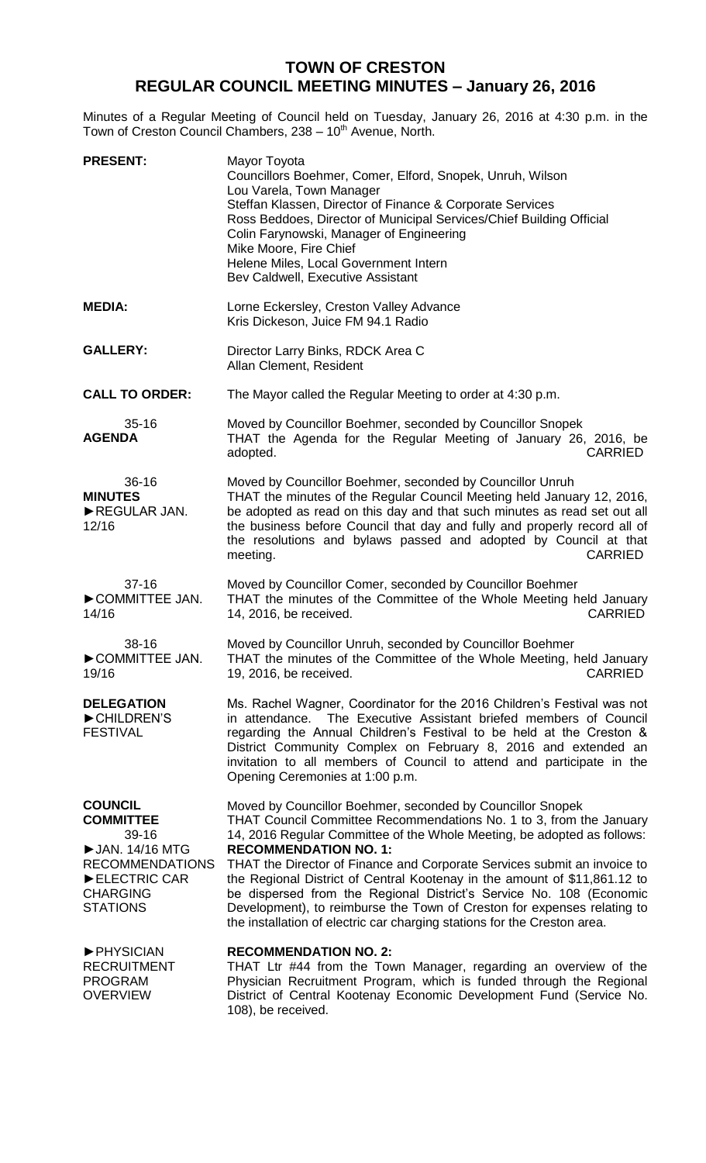## **TOWN OF CRESTON REGULAR COUNCIL MEETING MINUTES – January 26, 2016**

Minutes of a Regular Meeting of Council held on Tuesday, January 26, 2016 at 4:30 p.m. in the Town of Creston Council Chambers, 238 - 10<sup>th</sup> Avenue, North.

| <b>PRESENT:</b>                                                                                                                                 | Mayor Toyota<br>Councillors Boehmer, Comer, Elford, Snopek, Unruh, Wilson<br>Lou Varela, Town Manager<br>Steffan Klassen, Director of Finance & Corporate Services<br>Ross Beddoes, Director of Municipal Services/Chief Building Official<br>Colin Farynowski, Manager of Engineering<br>Mike Moore, Fire Chief<br>Helene Miles, Local Government Intern<br>Bev Caldwell, Executive Assistant                                                                                                                                                                                                                                      |
|-------------------------------------------------------------------------------------------------------------------------------------------------|-------------------------------------------------------------------------------------------------------------------------------------------------------------------------------------------------------------------------------------------------------------------------------------------------------------------------------------------------------------------------------------------------------------------------------------------------------------------------------------------------------------------------------------------------------------------------------------------------------------------------------------|
| <b>MEDIA:</b>                                                                                                                                   | Lorne Eckersley, Creston Valley Advance<br>Kris Dickeson, Juice FM 94.1 Radio                                                                                                                                                                                                                                                                                                                                                                                                                                                                                                                                                       |
| <b>GALLERY:</b>                                                                                                                                 | Director Larry Binks, RDCK Area C<br>Allan Clement, Resident                                                                                                                                                                                                                                                                                                                                                                                                                                                                                                                                                                        |
| <b>CALL TO ORDER:</b>                                                                                                                           | The Mayor called the Regular Meeting to order at 4:30 p.m.                                                                                                                                                                                                                                                                                                                                                                                                                                                                                                                                                                          |
| $35 - 16$<br><b>AGENDA</b>                                                                                                                      | Moved by Councillor Boehmer, seconded by Councillor Snopek<br>THAT the Agenda for the Regular Meeting of January 26, 2016, be<br>adopted.<br><b>CARRIED</b>                                                                                                                                                                                                                                                                                                                                                                                                                                                                         |
| $36 - 16$<br><b>MINUTES</b><br>REGULAR JAN.<br>12/16                                                                                            | Moved by Councillor Boehmer, seconded by Councillor Unruh<br>THAT the minutes of the Regular Council Meeting held January 12, 2016,<br>be adopted as read on this day and that such minutes as read set out all<br>the business before Council that day and fully and properly record all of<br>the resolutions and bylaws passed and adopted by Council at that<br><b>CARRIED</b><br>meeting.                                                                                                                                                                                                                                      |
| $37 - 16$<br>COMMITTEE JAN.<br>14/16                                                                                                            | Moved by Councillor Comer, seconded by Councillor Boehmer<br>THAT the minutes of the Committee of the Whole Meeting held January<br>14, 2016, be received.<br><b>CARRIED</b>                                                                                                                                                                                                                                                                                                                                                                                                                                                        |
| $38 - 16$<br>COMMITTEE JAN.<br>19/16                                                                                                            | Moved by Councillor Unruh, seconded by Councillor Boehmer<br>THAT the minutes of the Committee of the Whole Meeting, held January<br><b>CARRIED</b><br>19, 2016, be received.                                                                                                                                                                                                                                                                                                                                                                                                                                                       |
| <b>DELEGATION</b><br>CHILDREN'S<br><b>FESTIVAL</b>                                                                                              | Ms. Rachel Wagner, Coordinator for the 2016 Children's Festival was not<br>The Executive Assistant briefed members of Council<br>in attendance.<br>regarding the Annual Children's Festival to be held at the Creston &<br>District Community Complex on February 8, 2016 and extended an<br>invitation to all members of Council to attend and participate in the<br>Opening Ceremonies at 1:00 p.m.                                                                                                                                                                                                                               |
| <b>COUNCIL</b><br><b>COMMITTEE</b><br>39-16<br>▶ JAN. 14/16 MTG<br><b>RECOMMENDATIONS</b><br>ELECTRIC CAR<br><b>CHARGING</b><br><b>STATIONS</b> | Moved by Councillor Boehmer, seconded by Councillor Snopek<br>THAT Council Committee Recommendations No. 1 to 3, from the January<br>14, 2016 Regular Committee of the Whole Meeting, be adopted as follows:<br><b>RECOMMENDATION NO. 1:</b><br>THAT the Director of Finance and Corporate Services submit an invoice to<br>the Regional District of Central Kootenay in the amount of \$11,861.12 to<br>be dispersed from the Regional District's Service No. 108 (Economic<br>Development), to reimburse the Town of Creston for expenses relating to<br>the installation of electric car charging stations for the Creston area. |
| <b>PHYSICIAN</b><br><b>RECRUITMENT</b><br><b>PROGRAM</b><br><b>OVERVIEW</b>                                                                     | <b>RECOMMENDATION NO. 2:</b><br>THAT Ltr #44 from the Town Manager, regarding an overview of the<br>Physician Recruitment Program, which is funded through the Regional<br>District of Central Kootenay Economic Development Fund (Service No.<br>108), be received.                                                                                                                                                                                                                                                                                                                                                                |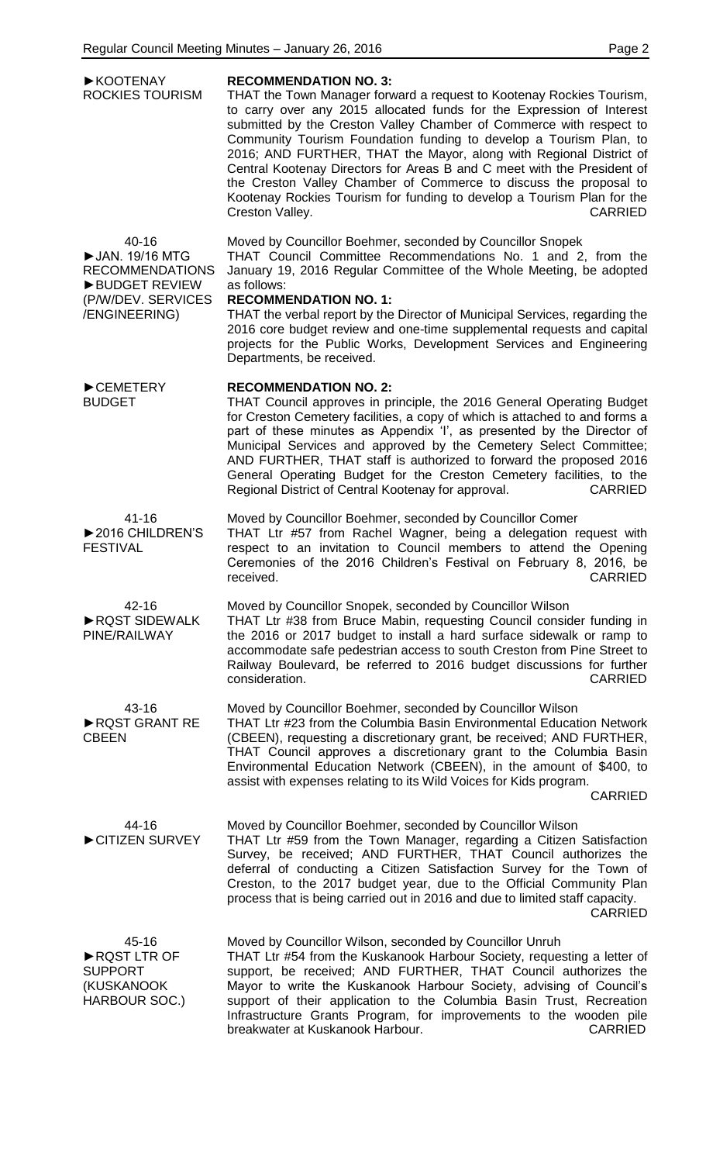| ▶ KOOTENAY<br>ROCKIES TOURISM                                                                                      | <b>RECOMMENDATION NO. 3:</b><br>THAT the Town Manager forward a request to Kootenay Rockies Tourism,<br>to carry over any 2015 allocated funds for the Expression of Interest<br>submitted by the Creston Valley Chamber of Commerce with respect to<br>Community Tourism Foundation funding to develop a Tourism Plan, to<br>2016; AND FURTHER, THAT the Mayor, along with Regional District of<br>Central Kootenay Directors for Areas B and C meet with the President of<br>the Creston Valley Chamber of Commerce to discuss the proposal to<br>Kootenay Rockies Tourism for funding to develop a Tourism Plan for the<br>Creston Valley.<br><b>CARRIED</b> |
|--------------------------------------------------------------------------------------------------------------------|-----------------------------------------------------------------------------------------------------------------------------------------------------------------------------------------------------------------------------------------------------------------------------------------------------------------------------------------------------------------------------------------------------------------------------------------------------------------------------------------------------------------------------------------------------------------------------------------------------------------------------------------------------------------|
| 40-16<br>▶ JAN. 19/16 MTG<br><b>RECOMMENDATIONS</b><br><b>BUDGET REVIEW</b><br>(P/W/DEV. SERVICES<br>/ENGINEERING) | Moved by Councillor Boehmer, seconded by Councillor Snopek<br>THAT Council Committee Recommendations No. 1 and 2, from the<br>January 19, 2016 Regular Committee of the Whole Meeting, be adopted<br>as follows:<br><b>RECOMMENDATION NO. 1:</b><br>THAT the verbal report by the Director of Municipal Services, regarding the<br>2016 core budget review and one-time supplemental requests and capital<br>projects for the Public Works, Development Services and Engineering<br>Departments, be received.                                                                                                                                                   |
| CEMETERY<br><b>BUDGET</b>                                                                                          | <b>RECOMMENDATION NO. 2:</b><br>THAT Council approves in principle, the 2016 General Operating Budget<br>for Creston Cemetery facilities, a copy of which is attached to and forms a<br>part of these minutes as Appendix 'I', as presented by the Director of<br>Municipal Services and approved by the Cemetery Select Committee;<br>AND FURTHER, THAT staff is authorized to forward the proposed 2016<br>General Operating Budget for the Creston Cemetery facilities, to the<br>Regional District of Central Kootenay for approval.<br><b>CARRIED</b>                                                                                                      |
| $41 - 16$<br>▶ 2016 CHILDREN'S<br><b>FESTIVAL</b>                                                                  | Moved by Councillor Boehmer, seconded by Councillor Comer<br>THAT Ltr #57 from Rachel Wagner, being a delegation request with<br>respect to an invitation to Council members to attend the Opening<br>Ceremonies of the 2016 Children's Festival on February 8, 2016, be<br><b>CARRIED</b><br>received.                                                                                                                                                                                                                                                                                                                                                         |
| 42-16<br>RQST SIDEWALK<br>PINE/RAILWAY                                                                             | Moved by Councillor Snopek, seconded by Councillor Wilson<br>THAT Ltr #38 from Bruce Mabin, requesting Council consider funding in<br>the 2016 or 2017 budget to install a hard surface sidewalk or ramp to<br>accommodate safe pedestrian access to south Creston from Pine Street to<br>Railway Boulevard, be referred to 2016 budget discussions for further<br>consideration.<br><b>CARRIED</b>                                                                                                                                                                                                                                                             |
| 43-16<br>RQST GRANT RE<br><b>CBEEN</b>                                                                             | Moved by Councillor Boehmer, seconded by Councillor Wilson<br>THAT Ltr #23 from the Columbia Basin Environmental Education Network<br>(CBEEN), requesting a discretionary grant, be received; AND FURTHER,<br>THAT Council approves a discretionary grant to the Columbia Basin<br>Environmental Education Network (CBEEN), in the amount of \$400, to<br>assist with expenses relating to its Wild Voices for Kids program.<br><b>CARRIED</b>                                                                                                                                                                                                                  |
| 44-16<br>CITIZEN SURVEY                                                                                            | Moved by Councillor Boehmer, seconded by Councillor Wilson<br>THAT Ltr #59 from the Town Manager, regarding a Citizen Satisfaction<br>Survey, be received; AND FURTHER, THAT Council authorizes the<br>deferral of conducting a Citizen Satisfaction Survey for the Town of<br>Creston, to the 2017 budget year, due to the Official Community Plan<br>process that is being carried out in 2016 and due to limited staff capacity.<br><b>CARRIED</b>                                                                                                                                                                                                           |
| 45-16<br>RQST LTR OF<br><b>SUPPORT</b><br>(KUSKANOOK)<br>HARBOUR SOC.)                                             | Moved by Councillor Wilson, seconded by Councillor Unruh<br>THAT Ltr #54 from the Kuskanook Harbour Society, requesting a letter of<br>support, be received; AND FURTHER, THAT Council authorizes the<br>Mayor to write the Kuskanook Harbour Society, advising of Council's<br>support of their application to the Columbia Basin Trust, Recreation<br>Infrastructure Grants Program, for improvements to the wooden pile<br><b>CARRIED</b><br>breakwater at Kuskanook Harbour.                                                                                                                                                                                |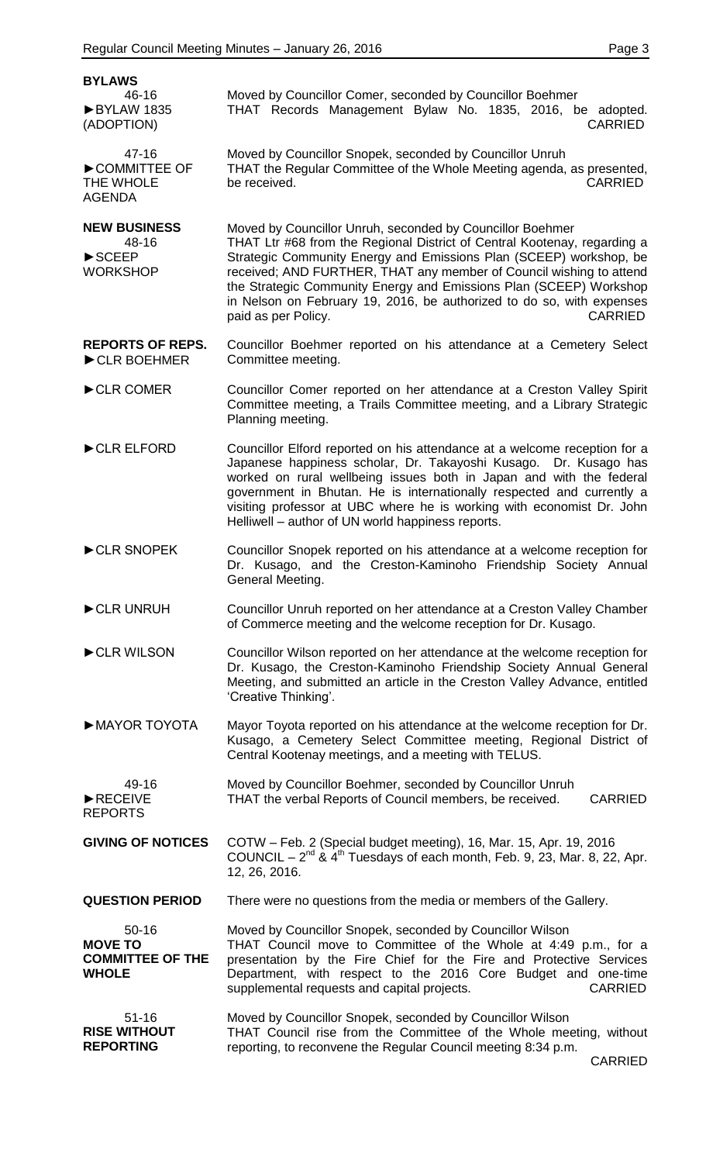| <b>BYLAWS</b>                                                                  |                                                                                                                                                                                                                                                                                                                                                                                                                                                                            |
|--------------------------------------------------------------------------------|----------------------------------------------------------------------------------------------------------------------------------------------------------------------------------------------------------------------------------------------------------------------------------------------------------------------------------------------------------------------------------------------------------------------------------------------------------------------------|
| 46-16<br>BYLAW 1835<br>(ADOPTION)                                              | Moved by Councillor Comer, seconded by Councillor Boehmer<br>THAT Records Management Bylaw No. 1835, 2016, be adopted.<br><b>CARRIED</b>                                                                                                                                                                                                                                                                                                                                   |
| $47 - 16$<br>COMMITTEE OF<br>THE WHOLE<br><b>AGENDA</b>                        | Moved by Councillor Snopek, seconded by Councillor Unruh<br>THAT the Regular Committee of the Whole Meeting agenda, as presented,<br>be received.<br><b>CARRIED</b>                                                                                                                                                                                                                                                                                                        |
| <b>NEW BUSINESS</b><br>48-16<br>$\blacktriangleright$ SCEEP<br><b>WORKSHOP</b> | Moved by Councillor Unruh, seconded by Councillor Boehmer<br>THAT Ltr #68 from the Regional District of Central Kootenay, regarding a<br>Strategic Community Energy and Emissions Plan (SCEEP) workshop, be<br>received; AND FURTHER, THAT any member of Council wishing to attend<br>the Strategic Community Energy and Emissions Plan (SCEEP) Workshop<br>in Nelson on February 19, 2016, be authorized to do so, with expenses<br>paid as per Policy.<br><b>CARRIED</b> |
| <b>REPORTS OF REPS.</b><br>CLR BOEHMER                                         | Councillor Boehmer reported on his attendance at a Cemetery Select<br>Committee meeting.                                                                                                                                                                                                                                                                                                                                                                                   |
| CLR COMER                                                                      | Councillor Comer reported on her attendance at a Creston Valley Spirit<br>Committee meeting, a Trails Committee meeting, and a Library Strategic<br>Planning meeting.                                                                                                                                                                                                                                                                                                      |
| CLR ELFORD                                                                     | Councillor Elford reported on his attendance at a welcome reception for a<br>Japanese happiness scholar, Dr. Takayoshi Kusago. Dr. Kusago has<br>worked on rural wellbeing issues both in Japan and with the federal<br>government in Bhutan. He is internationally respected and currently a<br>visiting professor at UBC where he is working with economist Dr. John<br>Helliwell – author of UN world happiness reports.                                                |
| CLR SNOPEK                                                                     | Councillor Snopek reported on his attendance at a welcome reception for<br>Dr. Kusago, and the Creston-Kaminoho Friendship Society Annual<br>General Meeting.                                                                                                                                                                                                                                                                                                              |
| CLR UNRUH                                                                      | Councillor Unruh reported on her attendance at a Creston Valley Chamber<br>of Commerce meeting and the welcome reception for Dr. Kusago.                                                                                                                                                                                                                                                                                                                                   |
| CLR WILSON                                                                     | Councillor Wilson reported on her attendance at the welcome reception for<br>Dr. Kusago, the Creston-Kaminoho Friendship Society Annual General<br>Meeting, and submitted an article in the Creston Valley Advance, entitled<br>'Creative Thinking'.                                                                                                                                                                                                                       |
| MAYOR TOYOTA                                                                   | Mayor Toyota reported on his attendance at the welcome reception for Dr.<br>Kusago, a Cemetery Select Committee meeting, Regional District of<br>Central Kootenay meetings, and a meeting with TELUS.                                                                                                                                                                                                                                                                      |
| 49-16<br>RECEIVE<br><b>REPORTS</b>                                             | Moved by Councillor Boehmer, seconded by Councillor Unruh<br>THAT the verbal Reports of Council members, be received.<br><b>CARRIED</b>                                                                                                                                                                                                                                                                                                                                    |
| <b>GIVING OF NOTICES</b>                                                       | COTW - Feb. 2 (Special budget meeting), 16, Mar. 15, Apr. 19, 2016<br>COUNCIL – $2^{nd}$ & $4^{th}$ Tuesdays of each month, Feb. 9, 23, Mar. 8, 22, Apr.<br>12, 26, 2016.                                                                                                                                                                                                                                                                                                  |
| <b>QUESTION PERIOD</b>                                                         | There were no questions from the media or members of the Gallery.                                                                                                                                                                                                                                                                                                                                                                                                          |
| $50 - 16$<br><b>MOVE TO</b><br><b>COMMITTEE OF THE</b><br><b>WHOLE</b>         | Moved by Councillor Snopek, seconded by Councillor Wilson<br>THAT Council move to Committee of the Whole at 4:49 p.m., for a<br>presentation by the Fire Chief for the Fire and Protective Services<br>Department, with respect to the 2016 Core Budget and one-time<br>supplemental requests and capital projects.<br><b>CARRIED</b>                                                                                                                                      |
| $51 - 16$<br><b>RISE WITHOUT</b><br><b>REPORTING</b>                           | Moved by Councillor Snopek, seconded by Councillor Wilson<br>THAT Council rise from the Committee of the Whole meeting, without<br>reporting, to reconvene the Regular Council meeting 8:34 p.m.                                                                                                                                                                                                                                                                           |